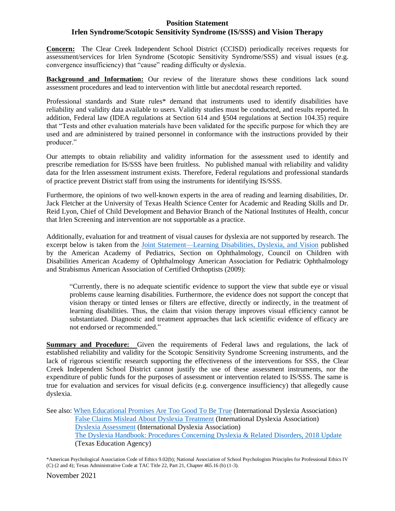## **Position Statement Irlen Syndrome/Scotopic Sensitivity Syndrome (IS/SSS) and Vision Therapy**

**Concern:** The Clear Creek Independent School District (CCISD) periodically receives requests for assessment/services for Irlen Syndrome (Scotopic Sensitivity Syndrome/SSS) and visual issues (e.g. convergence insufficiency) that "cause" reading difficulty or dyslexia.

**Background and Information:** Our review of the literature shows these conditions lack sound assessment procedures and lead to intervention with little but anecdotal research reported.

Professional standards and State rules\* demand that instruments used to identify disabilities have reliability and validity data available to users. Validity studies must be conducted, and results reported. In addition, Federal law (IDEA regulations at Section 614 and §504 regulations at Section 104.35) require that "Tests and other evaluation materials have been validated for the specific purpose for which they are used and are administered by trained personnel in conformance with the instructions provided by their producer."

Our attempts to obtain reliability and validity information for the assessment used to identify and prescribe remediation for IS/SSS have been fruitless. No published manual with reliability and validity data for the Irlen assessment instrument exists. Therefore, Federal regulations and professional standards of practice prevent District staff from using the instruments for identifying IS/SSS.

Furthermore, the opinions of two well-known experts in the area of reading and learning disabilities, Dr. Jack Fletcher at the University of Texas Health Science Center for Academic and Reading Skills and Dr. Reid Lyon, Chief of Child Development and Behavior Branch of the National Institutes of Health, concur that Irlen Screening and intervention are not supportable as a practice.

Additionally, evaluation for and treatment of visual causes for dyslexia are not supported by research. The excerpt below is taken from the [Joint Statement—Learning Disabilities, Dyslexia, and Vision](https://pediatrics.aappublications.org/content/pediatrics/124/2/837.full.pdf) published by the American Academy of Pediatrics, Section on Ophthalmology, Council on Children with Disabilities American Academy of Ophthalmology American Association for Pediatric Ophthalmology and Strabismus American Association of Certified Orthoptists (2009):

"Currently, there is no adequate scientific evidence to support the view that subtle eye or visual problems cause learning disabilities. Furthermore, the evidence does not support the concept that vision therapy or tinted lenses or filters are effective, directly or indirectly, in the treatment of learning disabilities. Thus, the claim that vision therapy improves visual efficiency cannot be substantiated. Diagnostic and treatment approaches that lack scientific evidence of efficacy are not endorsed or recommended."

**Summary and Procedure:** Given the requirements of Federal laws and regulations, the lack of established reliability and validity for the Scotopic Sensitivity Syndrome Screening instruments, and the lack of rigorous scientific research supporting the effectiveness of the interventions for SSS, the Clear Creek Independent School District cannot justify the use of these assessment instruments, nor the expenditure of public funds for the purposes of assessment or intervention related to IS/SSS. The same is true for evaluation and services for visual deficits (e.g. convergence insufficiency) that allegedly cause dyslexia.

See also: [When Educational Promises Are Too Good To Be True](https://ccisdnet-my.sharepoint.com/:b:/g/personal/lhardcas_ccisd_net/EQzLnk5xtlBCv0pT3_uBEVMBx-l6LeF2atDn8eUDoyZPrg?e=4CrPNX) (International Dyslexia Association) [False Claims Mislead About Dyslexia Treatment](https://ccisdnet-my.sharepoint.com/:b:/g/personal/lhardcas_ccisd_net/EXdmGdrP2zVKgBASKFt6V34BRY7V8ekj35GC0I9dg7MggA?e=vybiE7) (International Dyslexia Association) [Dyslexia Assessment](https://dyslexiaida.org/dyslexia-assessment-what-is-it-and-how-can-it-help-2/) (International Dyslexia Association) [The Dyslexia Handbook: Procedures Concerning Dyslexia & Related Disorders, 2018 Update](https://tea.texas.gov/sites/default/files/2018-Dyslexia-Handbook_Approved_Accomodated_12_11_2018.pdf) (Texas Education Agency)

\*American Psychological Association Code of Ethics 9.02(b); National Association of School Psychologists Principles for Professional Ethics IV (C) (2 and 4); Texas Administrative Code at TAC Title 22, Part 21, Chapter 465.16 (b) (1-3).

November 2021